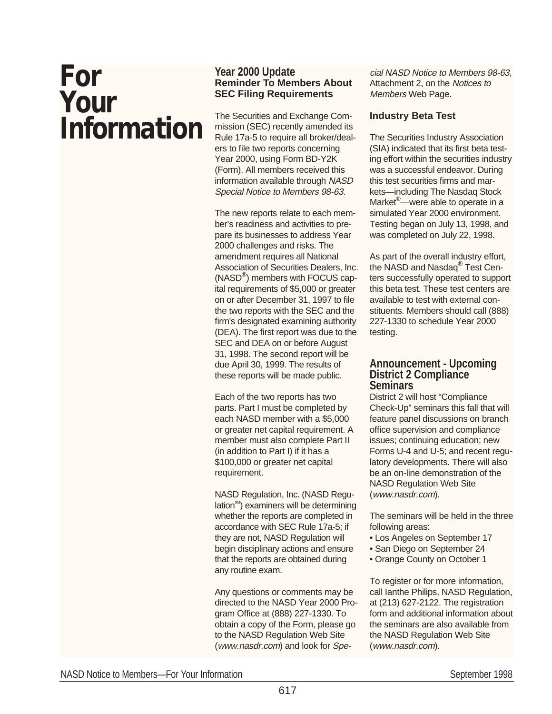# **For Your Information**

#### **Year 2000 Update Reminder To Members About SEC Filing Requirements**

The Securities and Exchange Commission (SEC) recently amended its Rule 17a-5 to require all broker/dealers to file two reports concerning Year 2000, using Form BD-Y2K (Form). All members received this information available through NASD Special Notice to Members 98-63.

The new reports relate to each member's readiness and activities to prepare its businesses to address Year 2000 challenges and risks. The amendment requires all National Association of Securities Dealers, Inc. (NASD®) members with FOCUS capital requirements of \$5,000 or greater on or after December 31, 1997 to file the two reports with the SEC and the firm's designated examining authority (DEA). The first report was due to the SEC and DEA on or before August 31, 1998. The second report will be due April 30, 1999. The results of these reports will be made public.

Each of the two reports has two parts. Part I must be completed by each NASD member with a \$5,000 or greater net capital requirement. A member must also complete Part II (in addition to Part I) if it has a \$100,000 or greater net capital requirement.

NASD Regulation, Inc. (NASD Regulation<sup>SM</sup>) examiners will be determining whether the reports are completed in accordance with SEC Rule 17a-5; if they are not, NASD Regulation will begin disciplinary actions and ensure that the reports are obtained during any routine exam.

Any questions or comments may be directed to the NASD Year 2000 Program Office at (888) 227-1330. To obtain a copy of the Form, please go to the NASD Regulation Web Site (www.nasdr.com) and look for Special NASD Notice to Members 98-63, Attachment 2, on the Notices to Members Web Page.

## **Industry Beta Test**

The Securities Industry Association (SIA) indicated that its first beta testing effort within the securities industry was a successful endeavor. During this test securities firms and markets—including The Nasdaq Stock Market®—were able to operate in a simulated Year 2000 environment. Testing began on July 13, 1998, and was completed on July 22, 1998.

As part of the overall industry effort, the NASD and Nasdaq<sup>®</sup> Test Centers successfully operated to support this beta test. These test centers are available to test with external constituents. Members should call (888) 227-1330 to schedule Year 2000 testing.

#### **Announcement - Upcoming District 2 Compliance Seminars**

District 2 will host "Compliance Check-Up" seminars this fall that will feature panel discussions on branch office supervision and compliance issues; continuing education; new Forms U-4 and U-5; and recent regulatory developments. There will also be an on-line demonstration of the **NASD Regulation Web Site** (www.nasdr.com).

The seminars will be held in the three following areas:

- Los Angeles on September 17
- San Diego on September 24
- Orange County on October 1

To register or for more information, call Ianthe Philips, NASD Regulation, at (213) 627-2122. The registration form and additional information about the seminars are also available from the NASD Regulation Web Site (www.nasdr.com).